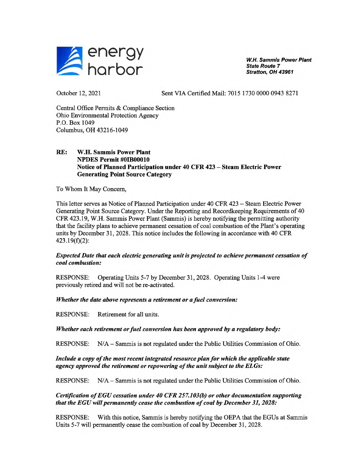

**W.H. Sammis Power Plant State Route** 7 **Stratton, OH 43961** 

October 12, 2021

Sent VIA Certified Mail: 7015 1730 0000 0943 8271

Central Office Permits & Compliance Section Ohio Environmental Protection Agency P.O. Box 1049 Columbus, OH 43216-1049

# **RE: W.H. Sammis Power Plant NPDES Permit #OIB00010 Notice of Planned Participation under 40 CFR 423 — Steam Electric Power Generating Point Source Category**

To Whom It May Concem,

This letter serves as Notice of Planned Participation under 40 CFR 423 — Steam Electric Power Generating Point Source Category. Under the Reporting and Recordkeeping Requirements of 40 CFR 423.19, W.H. Sammis Power Plant (Sammis) is hereby notifying the permitting authority that the facility plans to achieve permanent cessation of coal combustion of the Plant's operating units by December 31, 2028. This notice includes the following in accordance with 40 CFR 423.19(f)(2):

# *Expected Date that each electric generating unit is projected to achieve permanent cessation of coal combustion:*

RESPONSE: Operating Units 5-7 by December 31, 2028. Operating Units 1-4 were previously retired and will not be re-activated.

# *Whether the date above represents a retirement or afuel conversion:*

RESPONSE: Retirement for all units.

### *Whether each retirement or fuel conversion has been approved by a regulatory body:*

RESPONSE: N/A — Sammis is not regulated under the Public Utilities Commission of Ohio.

# *Include a copy of the most recent integrated resource plan for which the applicable state agency approved the retirement or repowering of the unit subject to the ELGs:*

RESPONSE: N/A — Sammis is not regulated under the Public Utilities Commission of Ohio.

# *Certification of EGU cessation under 40 CFR 257.103(b) or other documentation supporting that the EGU will permanently cease the combustion of coal by December 31, 2028:*

RESPONSE: With this notice, Sammis is hereby notifying the OEPA that the EGUs at Sammis Units 5-7 will permanently cease the combustion of coal by December 31, 2028.